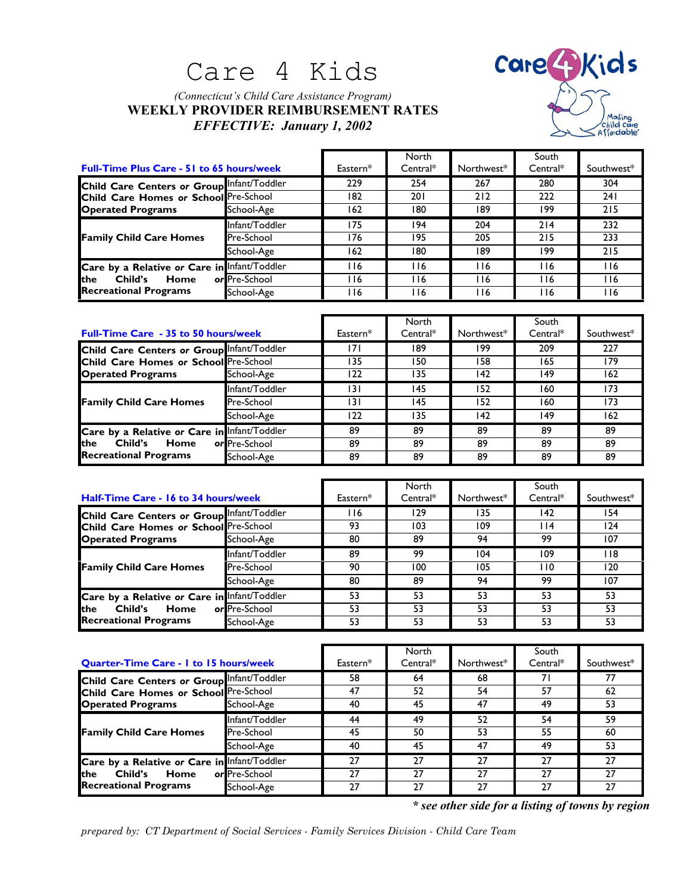# Care 4 Kids

### *(Connecticut's Child Care Assistance Program)* **WEEKLY PROVIDER REIMBURSEMENT RATES** *EFFECTIVE: January 1, 2002*



|                                                                                                                 |                |            | North      |            | South      |            |
|-----------------------------------------------------------------------------------------------------------------|----------------|------------|------------|------------|------------|------------|
| <b>Full-Time Plus Care - 51 to 65 hours/week</b>                                                                |                | Eastern*   | $Central*$ | Northwest* | $Central*$ | Southwest* |
| Child Care Centers or Group Infant/Toddler<br>Child Care Homes or School Pre-School<br><b>Operated Programs</b> |                | 229        | 254        | 267        | 280        | 304        |
|                                                                                                                 |                | 182        | 201        | 212        | 222        | 24 I       |
|                                                                                                                 | School-Age     | 162        | 180        | 189        | 199        | 215        |
| <b>Family Child Care Homes</b>                                                                                  | Infant/Toddler | 175        | 194        | 204        | 214        | 232        |
|                                                                                                                 | Pre-School     | 176        | 195        | 205        | 215        | 233        |
|                                                                                                                 | School-Age     | 162        | 180        | 189        | 199        | 215        |
| Care by a Relative or Care in Infant/Toddler<br><b>Ithe</b><br>Child's<br>Home<br><b>Recreational Programs</b>  |                | 116        | 116        | l 16       | l 16       | <b>116</b> |
|                                                                                                                 | or Pre-School  | 116        | 116        | 16         | l 16       | I 16       |
|                                                                                                                 | School-Age     | <b>116</b> | 116        | l 16       | l 16       | <b>116</b> |

|                                                                                                                 |                   |          | North      |            | South      |            |
|-----------------------------------------------------------------------------------------------------------------|-------------------|----------|------------|------------|------------|------------|
| <b>Full-Time Care - 35 to 50 hours/week</b>                                                                     |                   | Eastern* | $Central*$ | Northwest* | $Central*$ | Southwest* |
| Child Care Centers or Group Infant/Toddler<br>Child Care Homes or School Pre-School<br><b>Operated Programs</b> |                   | 7        | 189        | 199        | 209        | 227        |
|                                                                                                                 |                   | 135      | 150        | 158        | 165        | 179        |
|                                                                                                                 | School-Age        | 122      | 135        | 142        | 149        | 162        |
| <b>Family Child Care Homes</b>                                                                                  | Infant/Toddler    | 131      | 145        | 152        | 160        | 173        |
|                                                                                                                 | <b>Pre-School</b> | 131      | 145        | 152        | 160        | 173        |
|                                                                                                                 | School-Age        | 122      | 135        | 142        | 149        | 162        |
| Care by a Relative or Care in Infant/Toddler<br><b>Ithe</b><br>Child's<br>Home<br><b>Recreational Programs</b>  |                   | 89       | 89         | 89         | 89         | 89         |
|                                                                                                                 | or Pre-School     | 89       | 89         | 89         | 89         | 89         |
|                                                                                                                 | School-Age        | 89       | 89         | 89         | 89         | 89         |

| Half-Time Care - 16 to 34 hours/week                                                                            |                | Eastern* | North<br>Central* | Northwest* | South<br>$Central*$ | Southwest* |
|-----------------------------------------------------------------------------------------------------------------|----------------|----------|-------------------|------------|---------------------|------------|
| Child Care Centers or Group Infant/Toddler<br>Child Care Homes or School Pre-School<br><b>Operated Programs</b> |                | l 16     | 129               | 135        | 142                 | 154        |
|                                                                                                                 |                | 93       | 103               | 109        | l 14                | 124        |
|                                                                                                                 | School-Age     | 80       | 89                | 94         | 99                  | 107        |
| <b>Family Child Care Homes</b>                                                                                  | Infant/Toddler | 89       | 99                | 104        | 109                 | 118        |
|                                                                                                                 | Pre-School     | 90       | 100               | 105        | 110                 | 120        |
|                                                                                                                 | School-Age     | 80       | 89                | 94         | 99                  | 107        |
| Care by a Relative or Care in Infant/Toddler<br><b>the</b><br>Child's<br>Home<br><b>Recreational Programs</b>   |                | 53       | 53                | 53         | 53                  | 53         |
|                                                                                                                 | or Pre-School  | 53       | 53                | 53         | 53                  | 53         |
|                                                                                                                 | School-Age     | 53       | 53                | 53         | 53                  | 53         |

| <b>Quarter-Time Care - I to 15 hours/week</b>                                                                   |                   | Eastern* | North<br>$Central*$ | Northwest* | South<br>$Central*$ | Southwest* |
|-----------------------------------------------------------------------------------------------------------------|-------------------|----------|---------------------|------------|---------------------|------------|
| Child Care Centers or Group Infant/Toddler<br>Child Care Homes or School Pre-School<br><b>Operated Programs</b> |                   | 58       | 64                  | 68         | 71                  | 77         |
|                                                                                                                 |                   | 47       | 52                  | 54         | 57                  | 62         |
|                                                                                                                 | School-Age        | 40       | 45                  | 47         | 49                  | 53         |
| <b>Family Child Care Homes</b>                                                                                  | Infant/Toddler    | 44       | 49                  | 52         | 54                  | 59         |
|                                                                                                                 | <b>Pre-School</b> | 45       | 50                  | 53         | 55                  | 60         |
|                                                                                                                 | School-Age        | 40       | 45                  | 47         | 49                  | 53         |
| Care by a Relative or Care in Infant/Toddler<br><b>Ithe</b><br>Child's<br>Home<br><b>Recreational Programs</b>  |                   | 27       | 27                  | 27         | 27                  | 27         |
|                                                                                                                 | or Pre-School     | 27       | 27                  | 27         | 27                  | 27         |
|                                                                                                                 | School-Age        | 27       | 27                  | 27         | 27                  | 27         |

*\* see other side for a listing of towns by region*

*prepared by: CT Department of Social Services - Family Services Division - Child Care Team*